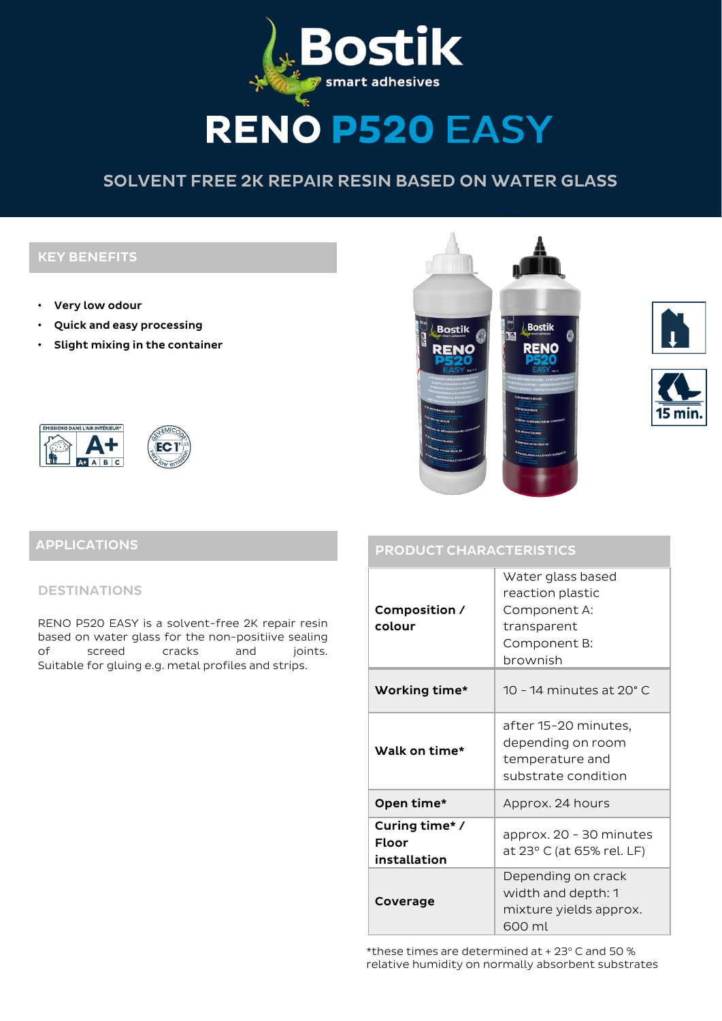

# **RENO P520 EASY**

# SOLVENT FREE 2K REPAIR RESIN BASED ON WATER GLASS

## KEY BENEFITS

- Very low odour
- Quick and easy processing
- Slight mixing in the container



# EC<sub>1</sub>

# **Bostik Bostik RENO RENO**





# PRODUCT CHARACTERISTICS APPLICATIONS

#### DESTINATIONS

RENO P520 EASY is a solvent-free 2K repair resin based on water glass for the non-positiive sealing of screed cracks and joints. Suitable for gluing e.g. metal profiles and strips.

| Composition /<br>colour                       | Water glass based<br>reaction plastic<br>Component A:<br>transparent<br>Component B:<br>brownish |  |  |
|-----------------------------------------------|--------------------------------------------------------------------------------------------------|--|--|
| Working time*                                 | 10 - 14 minutes at 20° C                                                                         |  |  |
| Walk on time*                                 | after 15-20 minutes,<br>depending on room<br>temperature and<br>substrate condition              |  |  |
| Open time*                                    | Approx. 24 hours                                                                                 |  |  |
| Curing time*/<br><b>Floor</b><br>installation | approx. 20 - 30 minutes<br>at 23° C (at 65% rel. LF)                                             |  |  |
| Coverage                                      | Depending on crack<br>width and depth: 1<br>mixture yields approx.<br>600 ml                     |  |  |
|                                               |                                                                                                  |  |  |

\*these times are determined at + 23° C and 50 % relative humidity on normally absorbent substrates